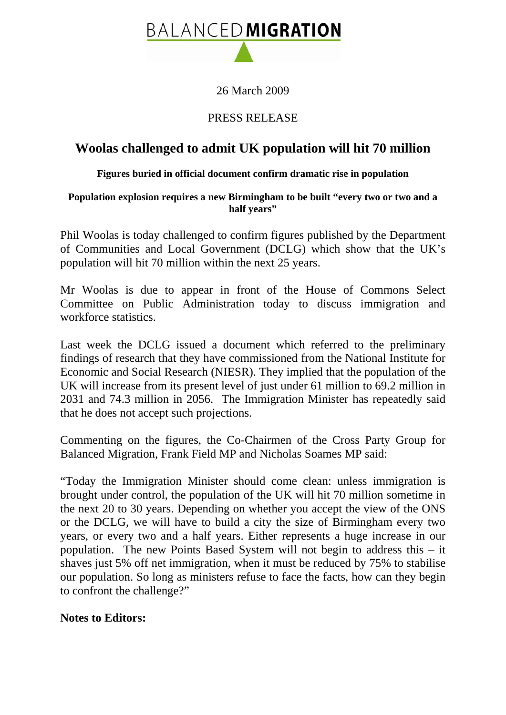

26 March 2009

## PRESS RELEASE

# **Woolas challenged to admit UK population will hit 70 million**

### **Figures buried in official document confirm dramatic rise in population**

#### **Population explosion requires a new Birmingham to be built "every two or two and a half years"**

Phil Woolas is today challenged to confirm figures published by the Department of Communities and Local Government (DCLG) which show that the UK's population will hit 70 million within the next 25 years.

Mr Woolas is due to appear in front of the House of Commons Select Committee on Public Administration today to discuss immigration and workforce statistics.

Last week the DCLG issued a document which referred to the preliminary findings of research that they have commissioned from the National Institute for Economic and Social Research (NIESR). They implied that the population of the UK will increase from its present level of just under 61 million to 69.2 million in 2031 and 74.3 million in 2056. The Immigration Minister has repeatedly said that he does not accept such projections.

Commenting on the figures, the Co-Chairmen of the Cross Party Group for Balanced Migration, Frank Field MP and Nicholas Soames MP said:

"Today the Immigration Minister should come clean: unless immigration is brought under control, the population of the UK will hit 70 million sometime in the next 20 to 30 years. Depending on whether you accept the view of the ONS or the DCLG, we will have to build a city the size of Birmingham every two years, or every two and a half years. Either represents a huge increase in our population. The new Points Based System will not begin to address this – it shaves just 5% off net immigration, when it must be reduced by 75% to stabilise our population. So long as ministers refuse to face the facts, how can they begin to confront the challenge?"

## **Notes to Editors:**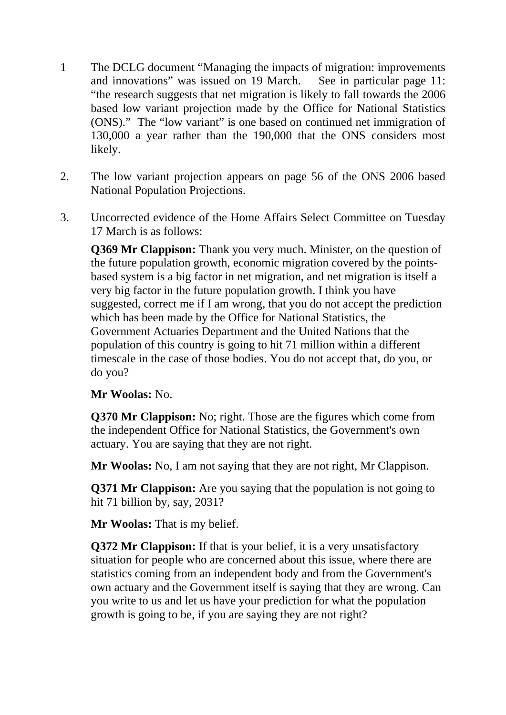- 1 The DCLG document "Managing the impacts of migration: improvements and innovations" was issued on 19 March. See in particular page 11: "the research suggests that net migration is likely to fall towards the 2006 based low variant projection made by the Office for National Statistics (ONS)." The "low variant" is one based on continued net immigration of 130,000 a year rather than the 190,000 that the ONS considers most likely.
- 2. The low variant projection appears on page 56 of the ONS 2006 based National Population Projections.
- 3. Uncorrected evidence of the Home Affairs Select Committee on Tuesday 17 March is as follows:

**Q369 Mr Clappison:** Thank you very much. Minister, on the question of the future population growth, economic migration covered by the pointsbased system is a big factor in net migration, and net migration is itself a very big factor in the future population growth. I think you have suggested, correct me if I am wrong, that you do not accept the prediction which has been made by the Office for National Statistics, the Government Actuaries Department and the United Nations that the population of this country is going to hit 71 million within a different timescale in the case of those bodies. You do not accept that, do you, or do you?

## **Mr Woolas:** No.

**Q370 Mr Clappison:** No; right. Those are the figures which come from the independent Office for National Statistics, the Government's own actuary. You are saying that they are not right.

**Mr Woolas:** No, I am not saying that they are not right, Mr Clappison.

**Q371 Mr Clappison:** Are you saying that the population is not going to hit 71 billion by, say, 2031?

**Mr Woolas:** That is my belief.

**Q372 Mr Clappison:** If that is your belief, it is a very unsatisfactory situation for people who are concerned about this issue, where there are statistics coming from an independent body and from the Government's own actuary and the Government itself is saying that they are wrong. Can you write to us and let us have your prediction for what the population growth is going to be, if you are saying they are not right?